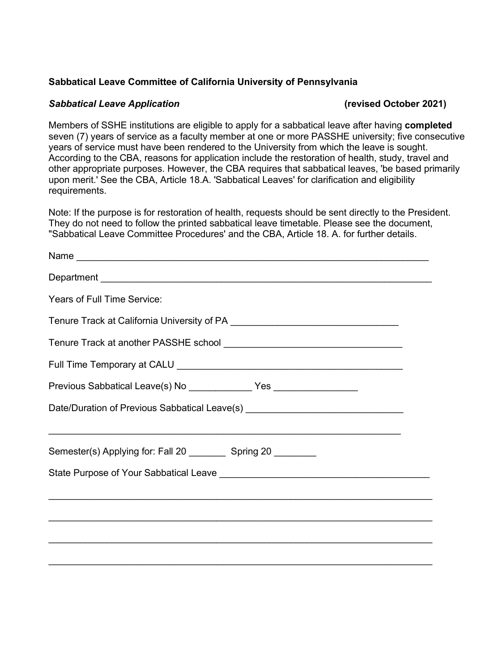## **Sabbatical Leave Committee of California University of Pennsylvania**

## **Sabbatical Leave Application**  *(revised October 2021)*

Members of SSHE institutions are eligible to apply for a sabbatical leave after having **completed**  seven (7) years of service as a faculty member at one or more PASSHE university; five consecutive years of service must have been rendered to the University from which the leave is sought. According to the CBA, reasons for application include the restoration of health, study, travel and other appropriate purposes. However, the CBA requires that sabbatical leaves, 'be based primarily upon merit.' See the CBA, Article 18.A. 'Sabbatical Leaves' for clarification and eligibility requirements.

Note: If the purpose is for restoration of health, requests should be sent directly to the President. They do not need to follow the printed sabbatical leave timetable. Please see the document, "Sabbatical Leave Committee Procedures' and the CBA, Article 18. A. for further details.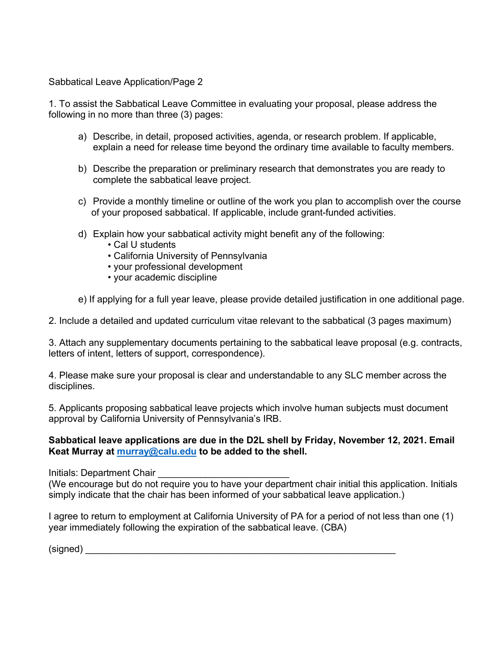Sabbatical Leave Application/Page 2

1. To assist the Sabbatical Leave Committee in evaluating your proposal, please address the following in no more than three (3) pages:

- a) Describe, in detail, proposed activities, agenda, or research problem. If applicable, explain a need for release time beyond the ordinary time available to faculty members.
- b) Describe the preparation or preliminary research that demonstrates you are ready to complete the sabbatical leave project.
- c) Provide a monthly timeline or outline of the work you plan to accomplish over the course of your proposed sabbatical. If applicable, include grant-funded activities.
- d) Explain how your sabbatical activity might benefit any of the following:
	- Cal U students
	- California University of Pennsylvania
	- your professional development
	- your academic discipline
- e) If applying for a full year leave, please provide detailed justification in one additional page.

2. Include a detailed and updated curriculum vitae relevant to the sabbatical (3 pages maximum)

3. Attach any supplementary documents pertaining to the sabbatical leave proposal (e.g. contracts, letters of intent, letters of support, correspondence).

4. Please make sure your proposal is clear and understandable to any SLC member across the disciplines.

5. Applicants proposing sabbatical leave projects which involve human subjects must document approval by California University of Pennsylvania's IRB.

#### **Sabbatical leave applications are due in the D2L shell by Friday, November 12, 2021. Email Keat Murray at [murray@calu.edu](mailto:murray@calu.edu) to be added to the shell.**

Initials: Department Chair

(We encourage but do not require you to have your department chair initial this application. Initials simply indicate that the chair has been informed of your sabbatical leave application.)

I agree to return to employment at California University of PA for a period of not less than one (1) year immediately following the expiration of the sabbatical leave. (CBA)

 $(signed)$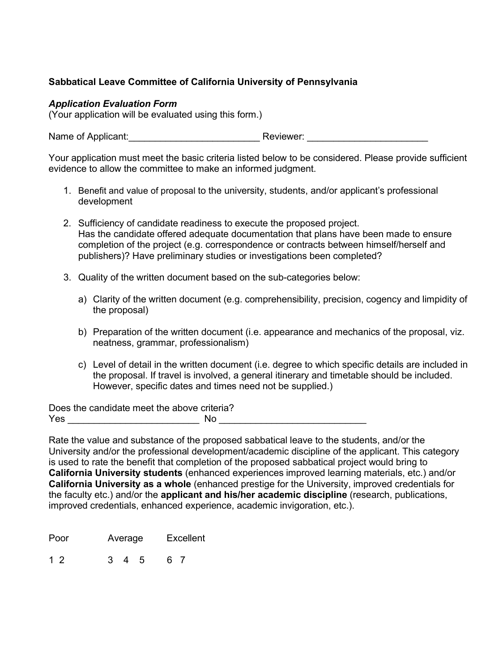# **Sabbatical Leave Committee of California University of Pennsylvania**

## *Application Evaluation Form*

(Your application will be evaluated using this form.)

Name of Applicant: example and a Reviewer:  $\blacksquare$ 

Your application must meet the basic criteria listed below to be considered. Please provide sufficient evidence to allow the committee to make an informed judgment.

- 1. Benefit and value of proposal to the university, students, and/or applicant's professional development
- 2. Sufficiency of candidate readiness to execute the proposed project. Has the candidate offered adequate documentation that plans have been made to ensure completion of the project (e.g. correspondence or contracts between himself/herself and publishers)? Have preliminary studies or investigations been completed?
- 3. Quality of the written document based on the sub-categories below:
	- a) Clarity of the written document (e.g. comprehensibility, precision, cogency and limpidity of the proposal)
	- b) Preparation of the written document (i.e. appearance and mechanics of the proposal, viz. neatness, grammar, professionalism)
	- c) Level of detail in the written document (i.e. degree to which specific details are included in the proposal. If travel is involved, a general itinerary and timetable should be included. However, specific dates and times need not be supplied.)

Does the candidate meet the above criteria? Yes \_\_\_\_\_\_\_\_\_\_\_\_\_\_\_\_\_\_\_\_\_\_\_\_\_ No \_\_\_\_\_\_\_\_\_\_\_\_\_\_\_\_\_\_\_\_\_\_\_\_\_\_\_\_

Rate the value and substance of the proposed sabbatical leave to the students, and/or the University and/or the professional development/academic discipline of the applicant. This category is used to rate the benefit that completion of the proposed sabbatical project would bring to **California University students** (enhanced experiences improved learning materials, etc.) and/or **California University as a whole** (enhanced prestige for the University, improved credentials for the faculty etc.) and/or the **applicant and his/her academic discipline** (research, publications, improved credentials, enhanced experience, academic invigoration, etc.).

Poor Average Excellent

1 2 3 4 5 6 7